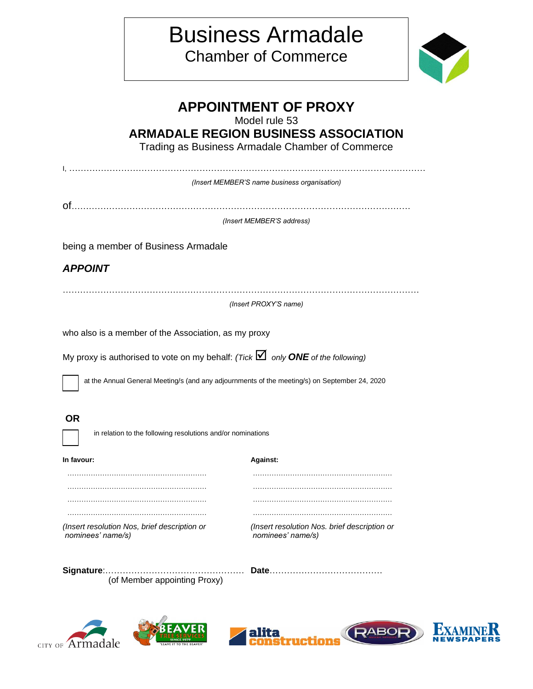## Business Armadale Chamber of Commerce



|                                                                                           | <b>APPOINTMENT OF PROXY</b><br>Model rule 53                                                  |
|-------------------------------------------------------------------------------------------|-----------------------------------------------------------------------------------------------|
|                                                                                           | <b>ARMADALE REGION BUSINESS ASSOCIATION</b>                                                   |
|                                                                                           | Trading as Business Armadale Chamber of Commerce                                              |
|                                                                                           |                                                                                               |
|                                                                                           | (Insert MEMBER'S name business organisation)                                                  |
|                                                                                           | (Insert MEMBER'S address)                                                                     |
| being a member of Business Armadale                                                       |                                                                                               |
| <b>APPOINT</b>                                                                            |                                                                                               |
|                                                                                           |                                                                                               |
|                                                                                           | (Insert PROXY'S name)                                                                         |
| who also is a member of the Association, as my proxy                                      |                                                                                               |
| My proxy is authorised to vote on my behalf: (Tick $\boxtimes$ only ONE of the following) |                                                                                               |
|                                                                                           |                                                                                               |
|                                                                                           | at the Annual General Meeting/s (and any adjournments of the meeting/s) on September 24, 2020 |
| <b>OR</b>                                                                                 |                                                                                               |
| in relation to the following resolutions and/or nominations                               |                                                                                               |
| In favour:                                                                                | Against:                                                                                      |
|                                                                                           |                                                                                               |
|                                                                                           |                                                                                               |
|                                                                                           |                                                                                               |
| (Insert resolution Nos, brief description or<br>nominees' name/s)                         | (Insert resolution Nos. brief description or<br>nominees' name/s)                             |
|                                                                                           |                                                                                               |
| (of Member appointing Proxy)                                                              |                                                                                               |